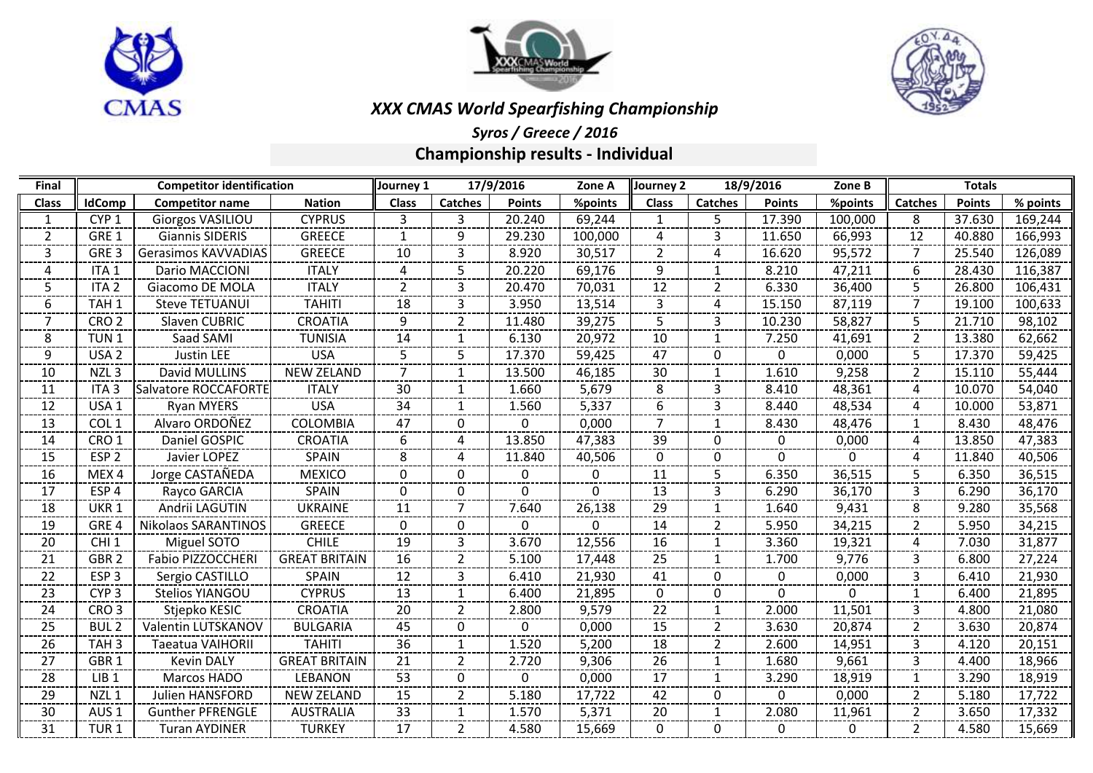





# *XXX CMAS World Spearfishing Championship*

*Syros / Greece / 2016* **Championship results - Individual**

| Final          | <b>Competitor identification</b> |                            |                      | 17/9/2016<br>Journey 1 |                |               | Zone A   | 18/9/2016<br>Journey 2 |                |               | Zone B       | <b>Totals</b>  |               |          |
|----------------|----------------------------------|----------------------------|----------------------|------------------------|----------------|---------------|----------|------------------------|----------------|---------------|--------------|----------------|---------------|----------|
| <b>Class</b>   | <b>IdComp</b>                    | <b>Competitor name</b>     | <b>Nation</b>        | <b>Class</b>           | <b>Catches</b> | <b>Points</b> | %points  | <b>Class</b>           | <b>Catches</b> | <b>Points</b> | %points      | <b>Catches</b> | <b>Points</b> | % points |
| 1              | CYP <sub>1</sub>                 | <b>Giorgos VASILIOU</b>    | <b>CYPRUS</b>        | 3                      | 3              | 20.240        | 69,244   | 1                      | 5              | 17.390        | 100,000      | 8              | 37.630        | 169,244  |
| $\overline{2}$ | GRE 1                            | <b>Giannis SIDERIS</b>     | <b>GREECE</b>        | 1                      | 9              | 29.230        | 100,000  | 4                      | 3              | 11.650        | 66,993       | 12             | 40.880        | 166,993  |
| 3              | GRE <sub>3</sub>                 | Gerasimos KAVVADIAS        | <b>GREECE</b>        | 10                     | 3              | 8.920         | 30,517   | 2                      | 4              | 16.620        | 95,572       | 7              | 25.540        | 126,089  |
| 4              | ITA <sub>1</sub>                 | Dario MACCIONI             | <b>ITALY</b>         | $\overline{a}$         | 5              | 20.220        | 69,176   | 9                      | 1              | 8.210         | 47,211       | 6              | 28.430        | 116,387  |
| 5.             | ITA <sub>2</sub>                 | Giacomo DE MOLA            | <b>ITALY</b>         | $\overline{2}$         | 3              | 20.470        | 70,031   | 12                     | $\overline{2}$ | 6.330         | 36,400       | 5.             | 26.800        | 106,431  |
| 6              | TAH <sub>1</sub>                 | <b>Steve TETUANUI</b>      | <b>TAHITI</b>        | 18                     | 3              | 3.950         | 13,514   | 3                      | 4              | 15.150        | 87,119       | 7              | 19.100        | 100,633  |
| 7              | CRO <sub>2</sub>                 | Slaven CUBRIC              | <b>CROATIA</b>       | 9                      | $\overline{2}$ | 11.480        | 39,275   | 5                      | 3              | 10.230        | 58,827       | 5.             | 21.710        | 98,102   |
| 8              | TUN <sub>1</sub>                 | Saad SAMI                  | <b>TUNISIA</b>       | 14                     | $\mathbf{1}$   | 6.130         | 20,972   | 10                     | 1              | 7.250         | 41,691       | $\overline{2}$ | 13.380        | 62,662   |
| 9              | USA <sub>2</sub>                 | <b>Justin LEE</b>          | <b>USA</b>           | 5                      | 5              | 17.370        | 59,425   | 47                     | 0              | 0             | 0,000        | 5.             | 17.370        | 59,425   |
| 10             | NZL <sub>3</sub>                 | David MULLINS              | <b>NEW ZELAND</b>    | 7                      | 1              | 13.500        | 46,185   | 30                     | -1             | 1.610         | 9,258        | 2              | 15.110        | 55,444   |
| 11             | ITA <sub>3</sub>                 | Salvatore ROCCAFORTE       | <b>ITALY</b>         | 30                     | 1              | 1.660         | 5,679    | 8                      | 3              | 8.410         | 48,361       | 4              | 10.070        | 54,040   |
| 12             | USA <sub>1</sub>                 | <b>Ryan MYERS</b>          | <b>USA</b>           | 34                     | $\mathbf{1}$   | 1.560         | 5,337    | 6                      | 3              | 8.440         | 48,534       | 4              | 10.000        | 53,871   |
| 13             | COL <sub>1</sub>                 | Alvaro ORDOÑEZ             | <b>COLOMBIA</b>      | 47                     | 0              | 0             | 0,000    | $\overline{7}$         | 1              | 8.430         | 48,476       | $\mathbf 1$    | 8.430         | 48,476   |
| 14             | CRO <sub>1</sub>                 | Daniel GOSPIC              | <b>CROATIA</b>       | 6                      | 4              | 13.850        | 47,383   | 39                     | $\Omega$       | 0             | 0,000        | 4              | 13.850        | 47,383   |
| 15             | ESP <sub>2</sub>                 | Javier LOPEZ               | SPAIN                | 8                      | 4              | 11.840        | 40,506   | $\mathbf{0}$           | $\Omega$       | $\mathbf{0}$  | $\mathbf{0}$ | 4              | 11.840        | 40,506   |
| 16             | MEX4                             | Jorge CASTAÑEDA            | <b>MEXICO</b>        | $\Omega$               | 0              | <sup>0</sup>  | 0        | 11                     | 5              | 6.350         | 36,515       | 5.             | 6.350         | 36,515   |
| 17             | ESP <sub>4</sub>                 | Rayco GARCIA               | <b>SPAIN</b>         | $\mathbf{0}$           | 0              | $\Omega$      | $\Omega$ | 13                     | 3              | 6.290         | 36,170       | 3              | 6.290         | 36,170   |
| 18             | UKR <sub>1</sub>                 | Andrii LAGUTIN             | <b>UKRAINE</b>       | 11                     | 7              | 7.640         | 26,138   | 29                     | 1              | 1.640         | 9,431        | 8              | 9.280         | 35,568   |
| 19             | GRE <sub>4</sub>                 | <b>Nikolaos SARANTINOS</b> | <b>GREECE</b>        | $\mathbf{0}$           | 0              | 0             | 0        | 14                     | 2              | 5.950         | 34,215       | 2              | 5.950         | 34,215   |
| 20             | CHI <sub>1</sub>                 | Miguel SOTO                | <b>CHILE</b>         | 19                     | 3              | 3.670         | 12,556   | 16                     | 1              | 3.360         | 19,321       | 4              | 7.030         | 31,877   |
| 21             | GBR <sub>2</sub>                 | Fabio PIZZOCCHERI          | <b>GREAT BRITAIN</b> | 16                     | $\overline{2}$ | 5.100         | 17,448   | 25                     | 1              | 1.700         | 9,776        | 3              | 6.800         | 27,224   |
| 22             | ESP <sub>3</sub>                 | Sergio CASTILLO            | <b>SPAIN</b>         | 12                     | 3              | 6.410         | 21,930   | 41                     | 0              | 0             | 0,000        | 3              | 6.410         | 21,930   |
| 23             | CYP <sub>3</sub>                 | Stelios YIANGOU            | <b>CYPRUS</b>        | 13                     | 1              | 6.400         | 21,895   | $\mathbf{0}$           | $\mathbf{0}$   | 0             | $\mathbf{0}$ | $\mathbf{1}$   | 6.400         | 21,895   |
| 24             | CRO <sub>3</sub>                 | Stjepko KESIC              | <b>CROATIA</b>       | 20                     | $\overline{2}$ | 2.800         | 9,579    | 22                     | 1              | 2.000         | 11,501       | 3              | 4.800         | 21,080   |
| 25             | <b>BUL2</b>                      | Valentin LUTSKANOV         | <b>BULGARIA</b>      | 45                     | $\mathbf{0}$   | $\Omega$      | 0,000    | 15                     | $\overline{2}$ | 3.630         | 20,874       | $\overline{2}$ | 3.630         | 20,874   |
| 26             | TAH <sub>3</sub>                 | Taeatua VAIHORII           | <b>TAHITI</b>        | 36                     | 1              | 1.520         | 5,200    | 18                     | $\overline{2}$ | 2.600         | 14,951       | 3              | 4.120         | 20,151   |
| 27             | GBR <sub>1</sub>                 | <b>Kevin DALY</b>          | <b>GREAT BRITAIN</b> | 21                     | $\overline{2}$ | 2.720         | 9,306    | 26                     | 1              | 1.680         | 9,661        | 3              | 4.400         | 18,966   |
| 28             | LIB <sub>1</sub>                 | Marcos HADO                | LEBANON              | 53                     | 0              | 0             | 0,000    | 17                     | 1              | 3.290         | 18,919       | -1             | 3.290         | 18,919   |
| 29             | NZL <sub>1</sub>                 | <b>Julien HANSFORD</b>     | <b>NEW ZELAND</b>    | 15                     | $\overline{2}$ | 5.180         | 17,722   | 42                     | $\Omega$       | $\mathbf 0$   | 0,000        | $\overline{2}$ | 5.180         | 17,722   |
| 30             | AUS <sub>1</sub>                 | <b>Gunther PFRENGLE</b>    | <b>AUSTRALIA</b>     | 33                     | 1              | 1.570         | 5,371    | 20                     | 1              | 2.080         | 11,961       | 2              | 3.650         | 17,332   |
| 31             | TUR <sub>1</sub>                 | <b>Turan AYDINER</b>       | <b>TURKEY</b>        | 17                     | $\overline{2}$ | 4.580         | 15,669   | $\mathbf{0}$           | $\mathbf{0}$   | 0             | 0            | $\mathbf{2}$   | 4.580         | 15,669   |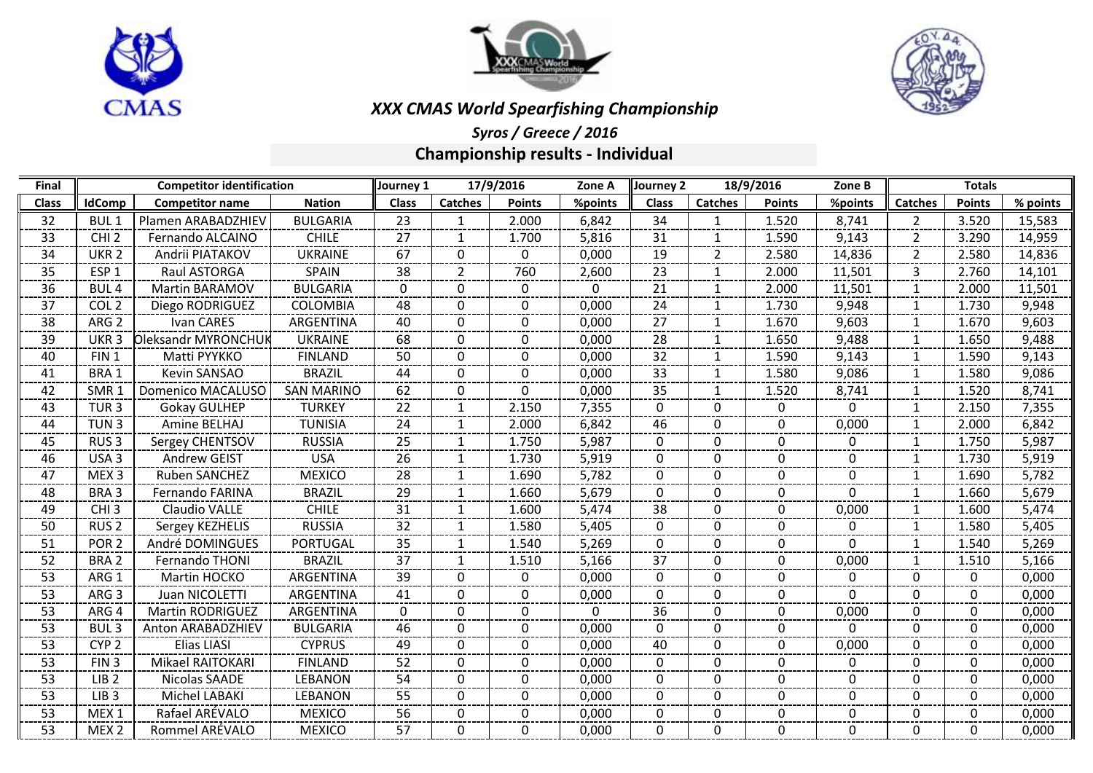





# *XXX CMAS World Spearfishing Championship*

## *Syros / Greece / 2016* **Championship results - Individual**

| Final        | <b>Competitor identification</b> |                         |                   | 17/9/2016<br>Journey 1<br>Zone A |                |               |              | 18/9/2016<br>Journey 2<br>Zone B |                |               |              | <b>Totals</b>  |               |          |
|--------------|----------------------------------|-------------------------|-------------------|----------------------------------|----------------|---------------|--------------|----------------------------------|----------------|---------------|--------------|----------------|---------------|----------|
| <b>Class</b> | <b>IdComp</b>                    | <b>Competitor name</b>  | <b>Nation</b>     | <b>Class</b>                     | <b>Catches</b> | <b>Points</b> | %points      | <b>Class</b>                     | <b>Catches</b> | <b>Points</b> | %points      | <b>Catches</b> | <b>Points</b> | % points |
| 32           | <b>BUL1</b>                      | Plamen ARABADZHIEV      | <b>BULGARIA</b>   | 23                               | 1              | 2.000         | 6,842        | 34                               |                | 1.520         | 8,741        | $\mathcal{P}$  | 3.520         | 15,583   |
| 33           | CHI <sub>2</sub>                 | Fernando ALCAINO        | <b>CHILE</b>      | 27                               | 1              | 1.700         | 5,816        | 31                               | $\mathbf{1}$   | 1.590         | 9,143        | 2              | 3.290         | 14,959   |
| 34           | UKR <sub>2</sub>                 | Andrii PIATAKOV         | <b>UKRAINE</b>    | 67                               | $\Omega$       | 0             | 0,000        | 19                               | 2              | 2.580         | 14,836       | $\overline{2}$ | 2.580         | 14,836   |
| 35           | ESP <sub>1</sub>                 | Raul ASTORGA            | <b>SPAIN</b>      | 38                               | 2              | 760           | 2,600        | 23                               | $\mathbf{1}$   | 2.000         | 11,501       | 3              | 2.760         | 14,101   |
| 36           | <b>BUL4</b>                      | Martin BARAMOV          | <b>BULGARIA</b>   | $\mathbf{0}$                     | $\Omega$       | 0             | $\mathbf{0}$ | 21                               | -1             | 2.000         | 11,501       | $\mathbf{1}$   | 2.000         | 11,501   |
| 37           | COL <sub>2</sub>                 | Diego RODRIGUEZ         | COLOMBIA          | 48                               | $\Omega$       | $\Omega$      | 0,000        | 24                               | $\mathbf{1}$   | 1.730         | 9,948        | 1              | 1.730         | 9,948    |
| 38           | ARG <sub>2</sub>                 | Ivan CARES              | ARGENTINA         | 40                               | $\Omega$       | $\Omega$      | 0,000        | 27                               | $\mathbf{1}$   | 1.670         | 9,603        | $\mathbf{1}$   | 1.670         | 9,603    |
| 39           | UKR <sub>3</sub>                 | Oleksandr MYRONCHUK     | <b>UKRAINE</b>    | 68                               | $\Omega$       | 0             | 0,000        | 28                               | -1             | 1.650         | 9,488        | 1              | 1.650         | 9,488    |
| 40           | FIN <sub>1</sub>                 | Matti PYYKKO            | <b>FINLAND</b>    | 50                               | $\Omega$       | 0             | 0,000        | 32                               | -1             | 1.590         | 9,143        |                | 1.590         | 9,143    |
| 41           | BRA 1                            | Kevin SANSAO            | <b>BRAZIL</b>     | 44                               | $\Omega$       | 0             | 0,000        | 33                               | $\mathbf 1$    | 1.580         | 9,086        | 1              | 1.580         | 9,086    |
| 42           | SMR <sub>1</sub>                 | Domenico MACALUSO       | <b>SAN MARINO</b> | 62                               | $\Omega$       | 0             | 0,000        | 35                               | 1              | 1.520         | 8,741        | $\mathbf{1}$   | 1.520         | 8,741    |
| 43           | TUR <sub>3</sub>                 | <b>Gokay GULHEP</b>     | <b>TURKEY</b>     | 22                               | $\mathbf{1}$   | 2.150         | 7,355        | $\Omega$                         | $\Omega$       | 0             | $\mathbf 0$  | $\mathbf{1}$   | 2.150         | 7,355    |
| 44           | TUN <sub>3</sub>                 | Amine BELHAJ            | <b>TUNISIA</b>    | 24                               | 1              | 2.000         | 6,842        | 46                               | $\Omega$       | 0             | 0,000        |                | 2.000         | 6,842    |
| 45           | RUS <sub>3</sub>                 | Sergey CHENTSOV         | <b>RUSSIA</b>     | 25                               | 1              | 1.750         | 5,987        | $\Omega$                         | 0              | 0             | 0            | 1              | 1.750         | 5,987    |
| 46           | USA <sub>3</sub>                 | Andrew GEIST            | <b>USA</b>        | 26                               | 1              | 1.730         | 5,919        | $\Omega$                         | $\Omega$       | $\mathbf{0}$  | $\mathbf{0}$ | 1              | 1.730         | 5,919    |
| 47           | MEX <sub>3</sub>                 | Ruben SANCHEZ           | <b>MEXICO</b>     | 28                               | $\mathbf{1}$   | 1.690         | 5,782        | $\Omega$                         | $\mathbf{0}$   | 0             | $\Omega$     | $\mathbf{1}$   | 1.690         | 5,782    |
| 48           | BRA 3                            | Fernando FARINA         | <b>BRAZIL</b>     | 29                               | -1             | 1.660         | 5,679        | 0                                | $\Omega$       | 0             | 0            |                | 1.660         | 5,679    |
| 49           | CHI <sub>3</sub>                 | Claudio VALLE           | <b>CHILE</b>      | 31                               | 1              | 1.600         | 5,474        | 38                               | $\mathbf{0}$   | 0             | 0,000        | 1              | 1.600         | 5,474    |
| 50           | RUS <sub>2</sub>                 | Sergey KEZHELIS         | <b>RUSSIA</b>     | 32                               | 1              | 1.580         | 5,405        | $\Omega$                         | $\mathbf{0}$   | 0             | $\mathbf{0}$ | 1              | 1.580         | 5,405    |
| 51           | POR <sub>2</sub>                 | André DOMINGUES         | <b>PORTUGAL</b>   | 35                               | $\mathbf{1}$   | 1.540         | 5,269        | $\Omega$                         | $\Omega$       | $\Omega$      | $\Omega$     | $\mathbf{1}$   | 1.540         | 5,269    |
| 52           | BRA <sub>2</sub>                 | Fernando THONI          | <b>BRAZIL</b>     | 37                               | $\mathbf{1}$   | 1.510         | 5,166        | 37                               | $\Omega$       | 0             | 0,000        |                | 1.510         | 5,166    |
| 53           | ARG 1                            | Martin HOCKO            | ARGENTINA         | 39                               | $\Omega$       | 0             | 0,000        | 0                                | $\Omega$       | 0             | $\Omega$     | 0              | 0             | 0,000    |
| 53           | ARG <sub>3</sub>                 | Juan NICOLETTI          | ARGENTINA         | 41                               | $\Omega$       | 0             | 0,000        | 0                                | $\Omega$       | 0             | $\Omega$     | $\Omega$       | 0             | 0,000    |
| 53           | ARG 4                            | <b>Martin RODRIGUEZ</b> | ARGENTINA         | $\Omega$                         | $\Omega$       | 0             | 0            | 36                               | $\Omega$       | $\Omega$      | 0,000        | $\Omega$       | 0             | 0,000    |
| 53           | BUL <sub>3</sub>                 | Anton ARABADZHIEV       | <b>BULGARIA</b>   | 46                               | $\Omega$       | 0             | 0,000        | 0                                | $\Omega$       | 0             | 0            | $\mathbf{0}$   | 0             | 0,000    |
| 53           | CYP <sub>2</sub>                 | Elias LIASI             | <b>CYPRUS</b>     | 49                               | 0              | 0             | 0,000        | 40                               | 0              | 0             | 0,000        | 0              | 0             | 0,000    |
| 53           | FIN <sub>3</sub>                 | Mikael RAITOKARI        | <b>FINLAND</b>    | 52                               | $\Omega$       | 0             | 0,000        | 0                                | $\Omega$       | 0             | $\mathbf{0}$ | 0              | 0             | 0,000    |
| 53           | LIB <sub>2</sub>                 | Nicolas SAADE           | <b>LEBANON</b>    | 54                               | $\Omega$       | 0             | 0,000        | 0                                | $\Omega$       | 0             | $\Omega$     | $\Omega$       | 0             | 0,000    |
| 53           | LIB <sub>3</sub>                 | Michel LABAKI           | <b>LEBANON</b>    | 55                               | $\Omega$       | 0             | 0,000        | 0                                | $\mathbf{0}$   | 0             | 0            | $\mathbf{0}$   | 0             | 0,000    |
| 53           | MEX <sub>1</sub>                 | Rafael ARÉVALO          | <b>MEXICO</b>     | 56                               | 0              | 0             | 0,000        | 0                                | $\mathbf{0}$   | 0             | 0            | $\Omega$       | 0             | 0,000    |
| 53           | MEX <sub>2</sub>                 | Rommel ARÉVALO          | <b>MEXICO</b>     | 57                               | $\Omega$       | 0             | 0,000        | $\Omega$                         | $\Omega$       | 0             | $\Omega$     | $\Omega$       | 0             | 0,000    |